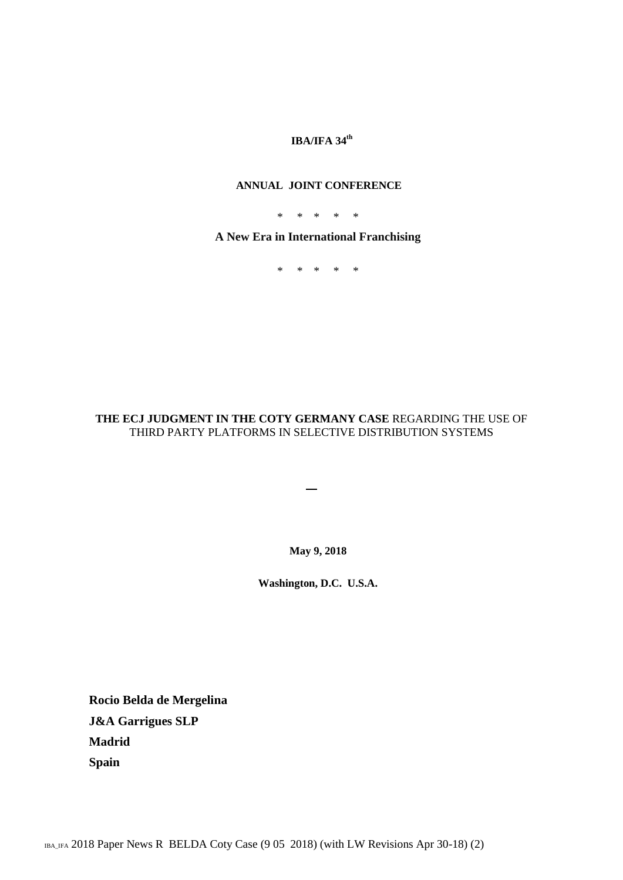# **IBA/IFA 34th**

#### **ANNUAL JOINT CONFERENCE**

\* \* \* \* \*

**A New Era in International Franchising**

\* \* \* \* \*

## **THE ECJ JUDGMENT IN THE COTY GERMANY CASE** REGARDING THE USE OF THIRD PARTY PLATFORMS IN SELECTIVE DISTRIBUTION SYSTEMS

 $\overline{\phantom{0}}$ 

**May 9, 2018**

**Washington, D.C. U.S.A.**

**Rocio Belda de Mergelina J&A Garrigues SLP Madrid Spain**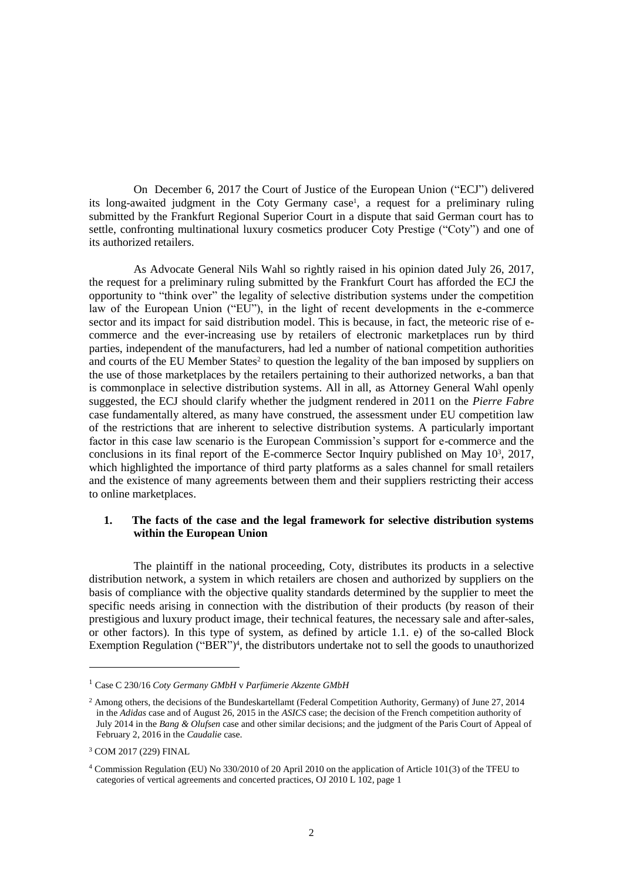On December 6, 2017 the Court of Justice of the European Union ("ECJ") delivered its long-awaited judgment in the Coty Germany case<sup>1</sup>, a request for a preliminary ruling submitted by the Frankfurt Regional Superior Court in a dispute that said German court has to settle, confronting multinational luxury cosmetics producer Coty Prestige ("Coty") and one of its authorized retailers.

As Advocate General Nils Wahl so rightly raised in his opinion dated July 26, 2017, the request for a preliminary ruling submitted by the Frankfurt Court has afforded the ECJ the opportunity to "think over" the legality of selective distribution systems under the competition law of the European Union ("EU"), in the light of recent developments in the e-commerce sector and its impact for said distribution model. This is because, in fact, the meteoric rise of ecommerce and the ever-increasing use by retailers of electronic marketplaces run by third parties, independent of the manufacturers, had led a number of national competition authorities and courts of the EU Member States<sup>2</sup> to question the legality of the ban imposed by suppliers on the use of those marketplaces by the retailers pertaining to their authorized networks, a ban that is commonplace in selective distribution systems. All in all, as Attorney General Wahl openly suggested, the ECJ should clarify whether the judgment rendered in 2011 on the *Pierre Fabre* case fundamentally altered, as many have construed, the assessment under EU competition law of the restrictions that are inherent to selective distribution systems. A particularly important factor in this case law scenario is the European Commission's support for e-commerce and the conclusions in its final report of the E-commerce Sector Inquiry published on May  $10<sup>3</sup>$ ,  $2017$ , which highlighted the importance of third party platforms as a sales channel for small retailers and the existence of many agreements between them and their suppliers restricting their access to online marketplaces.

## **1. The facts of the case and the legal framework for selective distribution systems within the European Union**

The plaintiff in the national proceeding, Coty, distributes its products in a selective distribution network, a system in which retailers are chosen and authorized by suppliers on the basis of compliance with the objective quality standards determined by the supplier to meet the specific needs arising in connection with the distribution of their products (by reason of their prestigious and luxury product image, their technical features, the necessary sale and after-sales, or other factors). In this type of system, as defined by article 1.1. e) of the so-called Block Exemption Regulation ("BER")<sup>4</sup>, the distributors undertake not to sell the goods to unauthorized

<sup>1</sup> Case C 230/16 *Coty Germany GMbH* v *Parfümerie Akzente GMbH*

<sup>&</sup>lt;sup>2</sup> Among others, the decisions of the Bundeskartellamt (Federal Competition Authority, Germany) of June 27, 2014 in the *Adidas* case and of August 26, 2015 in the *ASICS* case; the decision of the French competition authority of July 2014 in the *Bang & Olufsen* case and other similar decisions; and the judgment of the Paris Court of Appeal of February 2, 2016 in the *Caudalie* case.

<sup>3</sup> COM 2017 (229) FINAL

<sup>4</sup> Commission Regulation (EU) No 330/2010 of 20 April 2010 on the application of Article 101(3) of the TFEU to categories of vertical agreements and concerted practices, OJ 2010 L 102, page 1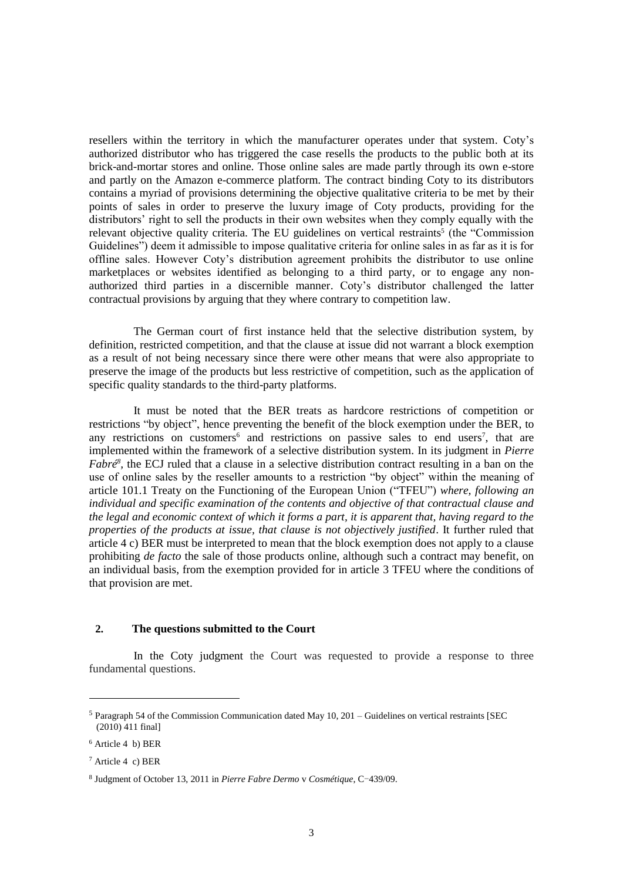resellers within the territory in which the manufacturer operates under that system. Coty's authorized distributor who has triggered the case resells the products to the public both at its brick-and-mortar stores and online. Those online sales are made partly through its own e-store and partly on the Amazon e-commerce platform. The contract binding Coty to its distributors contains a myriad of provisions determining the objective qualitative criteria to be met by their points of sales in order to preserve the luxury image of Coty products, providing for the distributors' right to sell the products in their own websites when they comply equally with the relevant objective quality criteria. The EU guidelines on vertical restraints<sup>5</sup> (the "Commission Guidelines") deem it admissible to impose qualitative criteria for online sales in as far as it is for offline sales. However Coty's distribution agreement prohibits the distributor to use online marketplaces or websites identified as belonging to a third party, or to engage any nonauthorized third parties in a discernible manner. Coty's distributor challenged the latter contractual provisions by arguing that they where contrary to competition law.

The German court of first instance held that the selective distribution system, by definition, restricted competition, and that the clause at issue did not warrant a block exemption as a result of not being necessary since there were other means that were also appropriate to preserve the image of the products but less restrictive of competition, such as the application of specific quality standards to the third-party platforms.

It must be noted that the BER treats as hardcore restrictions of competition or restrictions "by object", hence preventing the benefit of the block exemption under the BER, to any restrictions on customers<sup>6</sup> and restrictions on passive sales to end users<sup>7</sup>, that are implemented within the framework of a selective distribution system. In its judgment in *Pierre Fabré<sup>8</sup>*, the ECJ ruled that a clause in a selective distribution contract resulting in a ban on the use of online sales by the reseller amounts to a restriction "by object" within the meaning of article 101.1 Treaty on the Functioning of the European Union ("TFEU") *where, following an individual and specific examination of the contents and objective of that contractual clause and the legal and economic context of which it forms a part, it is apparent that, having regard to the properties of the products at issue, that clause is not objectively justified*. It further ruled that article 4 c) BER must be interpreted to mean that the block exemption does not apply to a clause prohibiting *de facto* the sale of those products online, although such a contract may benefit, on an individual basis, from the exemption provided for in article 3 TFEU where the conditions of that provision are met.

#### **2. The questions submitted to the Court**

In the Coty judgment the Court was requested to provide a response to three fundamental questions.

-

 $<sup>5</sup>$  Paragraph 54 of the Commission Communication dated May 10, 201 – Guidelines on vertical restraints [SEC</sup> (2010) 411 final]

<sup>6</sup> Article 4 b) BER

 $7$  Article 4 c) BER

<sup>8</sup> Judgment of October 13, 2011 in *Pierre Fabre Dermo* v *Cosmétique*, C-439/09.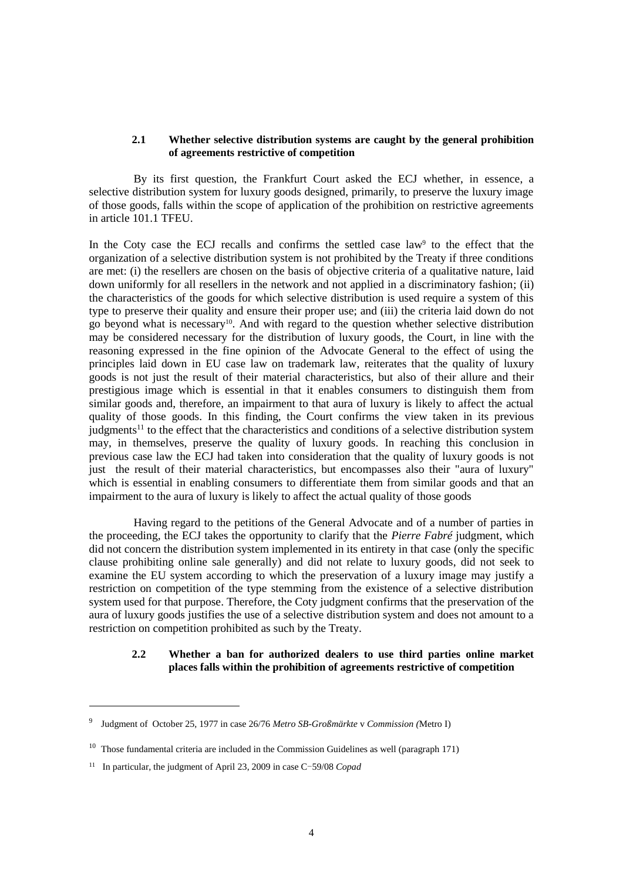#### **2.1 Whether selective distribution systems are caught by the general prohibition of agreements restrictive of competition**

By its first question, the Frankfurt Court asked the ECJ whether, in essence, a selective distribution system for luxury goods designed, primarily, to preserve the luxury image of those goods, falls within the scope of application of the prohibition on restrictive agreements in article 101.1 TFEU.

In the Coty case the ECJ recalls and confirms the settled case law<sup>9</sup> to the effect that the organization of a selective distribution system is not prohibited by the Treaty if three conditions are met: (i) the resellers are chosen on the basis of objective criteria of a qualitative nature, laid down uniformly for all resellers in the network and not applied in a discriminatory fashion; (ii) the characteristics of the goods for which selective distribution is used require a system of this type to preserve their quality and ensure their proper use; and (iii) the criteria laid down do not go beyond what is necessary<sup>10</sup>. And with regard to the question whether selective distribution may be considered necessary for the distribution of luxury goods, the Court, in line with the reasoning expressed in the fine opinion of the Advocate General to the effect of using the principles laid down in EU case law on trademark law, reiterates that the quality of luxury goods is not just the result of their material characteristics, but also of their allure and their prestigious image which is essential in that it enables consumers to distinguish them from similar goods and, therefore, an impairment to that aura of luxury is likely to affect the actual quality of those goods. In this finding, the Court confirms the view taken in its previous  $judements<sup>11</sup>$  to the effect that the characteristics and conditions of a selective distribution system may, in themselves, preserve the quality of luxury goods. In reaching this conclusion in previous case law the ECJ had taken into consideration that the quality of luxury goods is not just the result of their material characteristics, but encompasses also their "aura of luxury" which is essential in enabling consumers to differentiate them from similar goods and that an impairment to the aura of luxury is likely to affect the actual quality of those goods

Having regard to the petitions of the General Advocate and of a number of parties in the proceeding, the ECJ takes the opportunity to clarify that the *Pierre Fabré* judgment, which did not concern the distribution system implemented in its entirety in that case (only the specific clause prohibiting online sale generally) and did not relate to luxury goods, did not seek to examine the EU system according to which the preservation of a luxury image may justify a restriction on competition of the type stemming from the existence of a selective distribution system used for that purpose. Therefore, the Coty judgment confirms that the preservation of the aura of luxury goods justifies the use of a selective distribution system and does not amount to a restriction on competition prohibited as such by the Treaty.

## **2.2 Whether a ban for authorized dealers to use third parties online market places falls within the prohibition of agreements restrictive of competition**

<sup>9</sup> Judgment of October 25, 1977 in case 26/76 *Metro SB-Großmärkte* v *Commission (*Metro I)

<sup>&</sup>lt;sup>10</sup> Those fundamental criteria are included in the Commission Guidelines as well (paragraph 171)

<sup>&</sup>lt;sup>11</sup> In particular, the judgment of April 23, 2009 in case C-59/08 *Copad*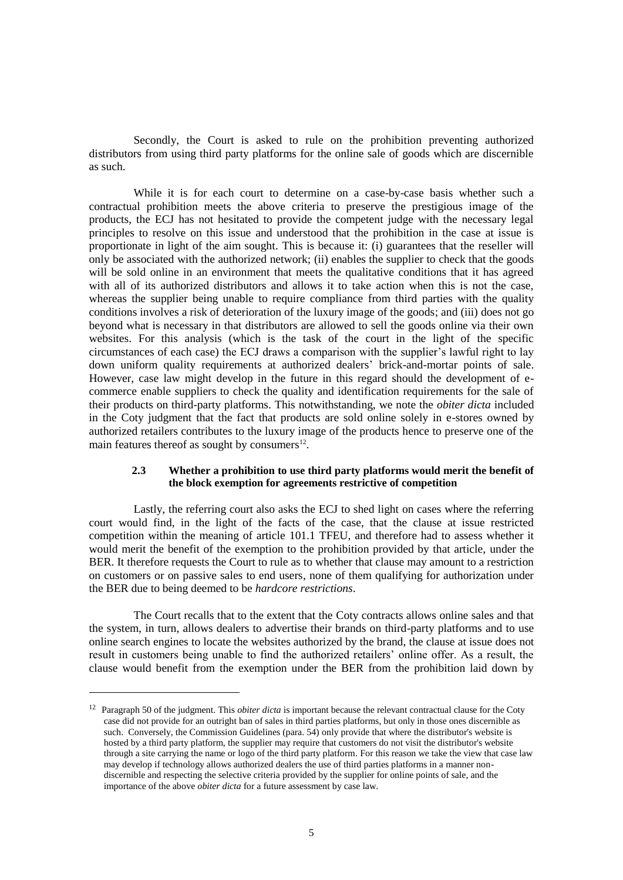Secondly, the Court is asked to rule on the prohibition preventing authorized distributors from using third party platforms for the online sale of goods which are discernible as such.

While it is for each court to determine on a case-by-case basis whether such a contractual prohibition meets the above criteria to preserve the prestigious image of the products, the ECJ has not hesitated to provide the competent judge with the necessary legal principles to resolve on this issue and understood that the prohibition in the case at issue is proportionate in light of the aim sought. This is because it: (i) guarantees that the reseller will only be associated with the authorized network; (ii) enables the supplier to check that the goods will be sold online in an environment that meets the qualitative conditions that it has agreed with all of its authorized distributors and allows it to take action when this is not the case, whereas the supplier being unable to require compliance from third parties with the quality conditions involves a risk of deterioration of the luxury image of the goods; and (iii) does not go beyond what is necessary in that distributors are allowed to sell the goods online via their own websites. For this analysis (which is the task of the court in the light of the specific circumstances of each case) the ECJ draws a comparison with the supplier's lawful right to lay down uniform quality requirements at authorized dealers' brick-and-mortar points of sale. However, case law might develop in the future in this regard should the development of ecommerce enable suppliers to check the quality and identification requirements for the sale of their products on third-party platforms. This notwithstanding, we note the *obiter dicta* included in the Coty judgment that the fact that products are sold online solely in e-stores owned by authorized retailers contributes to the luxury image of the products hence to preserve one of the main features thereof as sought by consumers $^{12}$ .

#### **2.3 Whether a prohibition to use third party platforms would merit the benefit of the block exemption for agreements restrictive of competition**

Lastly, the referring court also asks the ECJ to shed light on cases where the referring court would find, in the light of the facts of the case, that the clause at issue restricted competition within the meaning of article 101.1 TFEU, and therefore had to assess whether it would merit the benefit of the exemption to the prohibition provided by that article, under the BER. It therefore requests the Court to rule as to whether that clause may amount to a restriction on customers or on passive sales to end users, none of them qualifying for authorization under the BER due to being deemed to be *hardcore restrictions*.

The Court recalls that to the extent that the Coty contracts allows online sales and that the system, in turn, allows dealers to advertise their brands on third-party platforms and to use online search engines to locate the websites authorized by the brand, the clause at issue does not result in customers being unable to find the authorized retailers' online offer. As a result, the clause would benefit from the exemption under the BER from the prohibition laid down by

<sup>12</sup> Paragraph 50 of the judgment. This *obiter dicta* is important because the relevant contractual clause for the Coty case did not provide for an outright ban of sales in third parties platforms, but only in those ones discernible as such. Conversely, the Commission Guidelines (para. 54) only provide that where the distributor's website is hosted by a third party platform, the supplier may require that customers do not visit the distributor's website through a site carrying the name or logo of the third party platform. For this reason we take the view that case law may develop if technology allows authorized dealers the use of third parties platforms in a manner nondiscernible and respecting the selective criteria provided by the supplier for online points of sale, and the importance of the above *obiter dicta* for a future assessment by case law.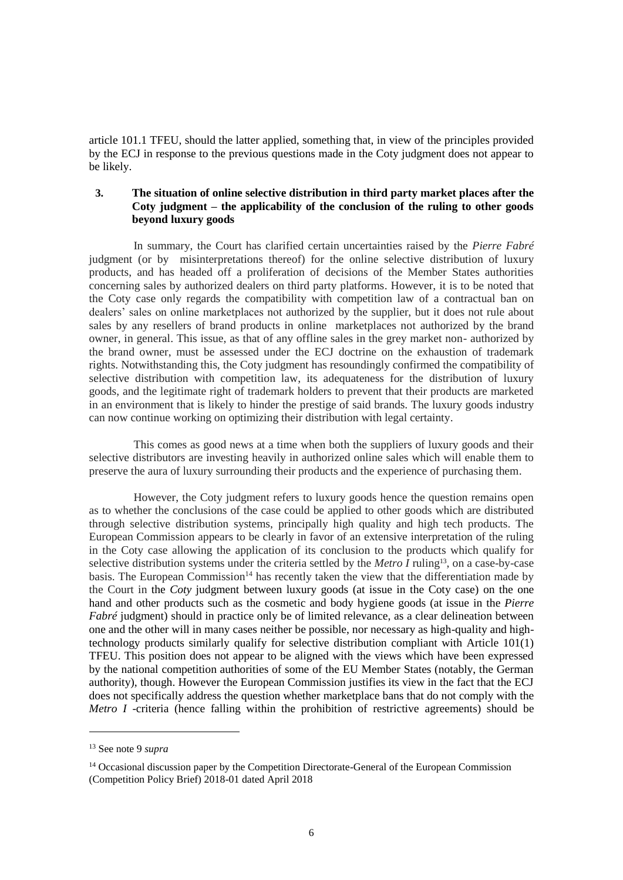article 101.1 TFEU, should the latter applied, something that, in view of the principles provided by the ECJ in response to the previous questions made in the Coty judgment does not appear to be likely.

## **3. The situation of online selective distribution in third party market places after the Coty judgment – the applicability of the conclusion of the ruling to other goods beyond luxury goods**

In summary, the Court has clarified certain uncertainties raised by the *Pierre Fabré* judgment (or by misinterpretations thereof) for the online selective distribution of luxury products, and has headed off a proliferation of decisions of the Member States authorities concerning sales by authorized dealers on third party platforms. However, it is to be noted that the Coty case only regards the compatibility with competition law of a contractual ban on dealers' sales on online marketplaces not authorized by the supplier, but it does not rule about sales by any resellers of brand products in online marketplaces not authorized by the brand owner, in general. This issue, as that of any offline sales in the grey market non- authorized by the brand owner, must be assessed under the ECJ doctrine on the exhaustion of trademark rights. Notwithstanding this, the Coty judgment has resoundingly confirmed the compatibility of selective distribution with competition law, its adequateness for the distribution of luxury goods, and the legitimate right of trademark holders to prevent that their products are marketed in an environment that is likely to hinder the prestige of said brands. The luxury goods industry can now continue working on optimizing their distribution with legal certainty.

This comes as good news at a time when both the suppliers of luxury goods and their selective distributors are investing heavily in authorized online sales which will enable them to preserve the aura of luxury surrounding their products and the experience of purchasing them.

However, the Coty judgment refers to luxury goods hence the question remains open as to whether the conclusions of the case could be applied to other goods which are distributed through selective distribution systems, principally high quality and high tech products. The European Commission appears to be clearly in favor of an extensive interpretation of the ruling in the Coty case allowing the application of its conclusion to the products which qualify for selective distribution systems under the criteria settled by the *Metro I* ruling<sup>13</sup>, on a case-by-case basis. The European Commission<sup>14</sup> has recently taken the view that the differentiation made by the Court in the *Coty* judgment between luxury goods (at issue in the Coty case) on the one hand and other products such as the cosmetic and body hygiene goods (at issue in the *Pierre Fabré* judgment) should in practice only be of limited relevance, as a clear delineation between one and the other will in many cases neither be possible, nor necessary as high-quality and hightechnology products similarly qualify for selective distribution compliant with Article 101(1) TFEU. This position does not appear to be aligned with the views which have been expressed by the national competition authorities of some of the EU Member States (notably, the German authority), though. However the European Commission justifies its view in the fact that the ECJ does not specifically address the question whether marketplace bans that do not comply with the *Metro I* -criteria (hence falling within the prohibition of restrictive agreements) should be

<sup>13</sup> See note 9 *supra*

<sup>&</sup>lt;sup>14</sup> Occasional discussion paper by the Competition Directorate-General of the European Commission (Competition Policy Brief) 2018-01 dated April 2018